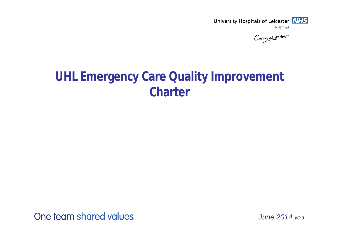

Caring at its best

## **UHL Emergency Care Quality Improvement Charter**

One team shared values

*June 2014 VO.3*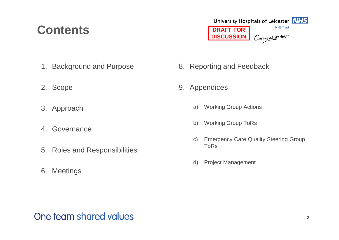## **Contents**



- 1. Background and Purpose
- 2. Scope
- 3. Approach
- 4. Governance
- 5. Roles and Responsibilities
- 6. Meetings
- 8. Reporting and Feedback
- 9. Appendices
	- a) Working Group Actions
	- b) Working Group ToRs
	- c) Emergency Care Quality Steering Group ToRs
	- d) Project Management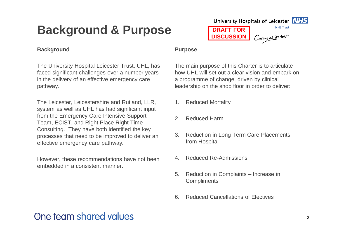## **Background & Purpose**

#### **Background**

The University Hospital Leicester Trust, UHL, has faced significant challenges over a number years in the delivery of an effective emergency care pathway.

The Leicester, Leicestershire and Rutland, LLR, system as well as UHL has had significant input from the Emergency Care Intensive Support Team, ECIST, and Right Place Right Time Consulting. They have both identified the key processes that need to be improved to deliver an effective emergency care pathway.

However, these recommendations have not been embedded in a consistent manner.

#### **Purpose**

The main purpose of this Charter is to articulate how UHL will set out a clear vision and embark on a programme of change, driven by clinical leadership on the shop floor in order to deliver:

**DRAFT FOR DISCUSSION**

- 1. Reduced Mortality
- 2. Reduced Harm
- 3. Reduction in Long Term Care Placements from Hospital
- 4. Reduced Re-Admissions
- 5. Reduction in Complaints Increase in **Compliments**
- 6. Reduced Cancellations of Electives

### One team shared values



**NHS Trust** 

Caring at its best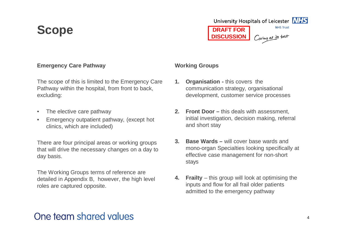## **Scope**



### **Emergency Care Pathway**

The scope of this is limited to the Emergency Care Pathway within the hospital, from front to back, excluding:

- The elective care pathway
- Emergency outpatient pathway, (except hot clinics, which are included)

There are four principal areas or working groups that will drive the necessary changes on a day to day basis.

The Working Groups terms of reference are detailed in Appendix B, however, the high level roles are captured opposite.

#### **Working Groups**

- **1. Organisation -** this covers the communication strategy, organisational development, customer service processes
- **2. Front Door –** this deals with assessment, initial investigation, decision making, referral and short stay
- **3. Base Wards –** will cover base wards and mono-organ Specialties looking specifically at effective case management for non-short stays
- **4. Frailty** this group will look at optimising the inputs and flow for all frail older patients admitted to the emergency pathway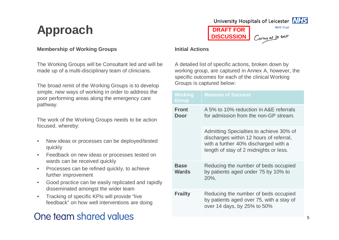## **Approach**

#### **Membership of Working Groups**

The Working Groups will be Consultant led and will be made up of a multi-disciplinary team of clinicians.

The broad remit of the Working Groups is to develop simple, new ways of working in order to address the poor performing areas along the emergency care pathway.

The work of the Working Groups needs to be action focused, whereby:

- New ideas or processes can be deployed/tested quickly
- Feedback on new ideas or processes tested on wards can be received quickly
- Processes can be refined quickly, to achieve further improvement
- Good practice can be easily replicated and rapidly disseminated amongst the wider team
- Tracking of specific KPIs will provide "live feedback" on how well interventions are doing

## One team shared values





**DRAFT FOR DISCUSSION**

Caring at its best

#### **Initial Actions**

A detailed list of specific actions, broken down by working group, are captured in Annex A, however, the specific outcomes for each of the clinical Working Groups is captured below:

| <b>Working</b><br>Group     | <b>Measure of Success</b>                                                                                                                                            |
|-----------------------------|----------------------------------------------------------------------------------------------------------------------------------------------------------------------|
| <b>Front</b><br>Door        | A 5% to 10% reduction in A&E referrals<br>for admission from the non-GP stream.                                                                                      |
|                             | Admitting Specialties to achieve 30% of<br>discharges within 12 hours of referral,<br>with a further 40% discharged with a<br>length of stay of 2 midnights or less. |
| <b>Base</b><br><b>Wards</b> | Reducing the number of beds occupied<br>by patients aged under 75 by 10% to<br>20%.                                                                                  |
| <b>Frailty</b>              | Reducing the number of beds occupied<br>by patients aged over 75, with a stay of<br>over 14 days, by 25% to 50%                                                      |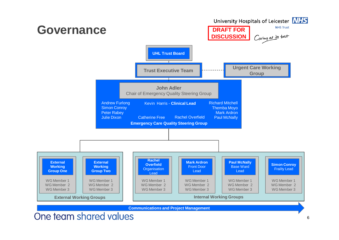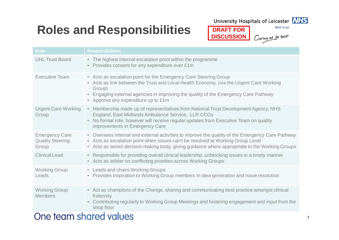## **Roles and Responsibilities DRAFT FOR**

University Hospitals of Leicester **NHS** 

**DISCUSSION**



**NHS Trust** 

Caring at its best

| <b>Role</b>                                               | <b>Responsibilities</b>                                                                                                                                                                                                                                                                             |
|-----------------------------------------------------------|-----------------------------------------------------------------------------------------------------------------------------------------------------------------------------------------------------------------------------------------------------------------------------------------------------|
| <b>UHL Trust Board</b>                                    | • The highest internal escalation point within the programme<br>Provides consent for any expenditure over £1m<br>$\bullet$                                                                                                                                                                          |
| <b>Executive Team</b>                                     | • Acts as escalation point for the Emergency Care Steering Group<br>• Acts as link between the Trust and Local Health Economy, (via the Urgent Care Working<br>Group)<br>• Engaging external agencies in improving the quality of the Emergency Care Pathway<br>• Approve any expenditure up to £1m |
| <b>Urgent Care Working</b><br>Group                       | • Membership made up of representatives from National Trust Development Agency, NHS<br>England, East Midlands Ambulance Service, LLR CCGs<br>No formal role, however will receive regular updates from Executive Team on quality<br>$\bullet$<br>improvements in Emergency Care                     |
| <b>Emergency Care</b><br><b>Quality Steering</b><br>Group | • Oversees internal and external activities to improve the quality of the Emergency Care Pathway<br>• Acts as escalation point when issues can't be resolved at Working Group Level<br>• Acts as senior decision making body, giving guidance where appropriate to the Working Groups               |
| <b>Clinical Lead</b>                                      | • Responsible for providing overall clinical leadership, unblocking issues in a timely manner<br>• Acts as arbiter on conflicting priorities across Working Groups                                                                                                                                  |
| <b>Working Group</b><br>Leads                             | • Leads and chairs Working Groups<br>Provides inspiration to Working Group members in idea generation and issue resolution<br>$\bullet$                                                                                                                                                             |
| <b>Working Group</b><br><b>Members</b>                    | • Act as champions of the Change, sharing and communicating best practice amongst clinical<br>fraternity<br>• Contributing regularly to Working Group Meetings and fostering engagement and input from the<br>shop floor                                                                            |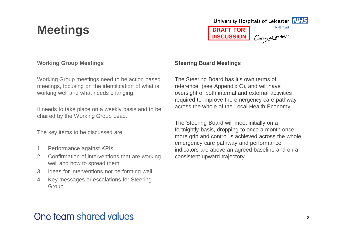## **Meetings**



### **Working Group Meetings**

Working Group meetings need to be action based meetings, focusing on the identification of what is working well and what needs changing.

It needs to take place on a weekly basis and to be chaired by the Working Group Lead.

The key items to be discussed are:

- 1. Performance against KPIs
- 2. Confirmation of interventions that are working well and how to spread them
- 3. Ideas for interventions not performing well
- 4. Key messages or escalations for Steering **Group**

#### **Steering Board Meetings**

The Steering Board has it's own terms of reference, (see Appendix C), and will have oversight of both internal and external activities required to improve the emergency care pathway across the whole of the Local Health Economy.

The Steering Board will meet initially on a fortnightly basis, dropping to once a month once more grip and control is achieved across the whole emergency care pathway and performance indicators are above an agreed baseline and on a consistent upward trajectory.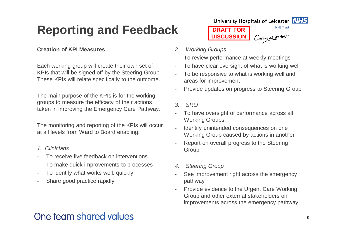## **Reporting and Feedback**

### **Creation of KPI Measures**

Each working group will create their own set of KPIs that will be signed off by the Steering Group. These KPIs will relate specifically to the outcome.

The main purpose of the KPIs is for the working groups to measure the efficacy of their actions taken in improving the Emergency Care Pathway.

The monitoring and reporting of the KPIs will occur at all levels from Ward to Board enabling:

- *1. Clinicians*
- To receive live feedback on interventions
- To make quick improvements to processes
- To identify what works well, quickly
- Share good practice rapidly

University Hospitals of Leicester **NHS DRAFT FOR** Caring at its best **DISCUSSION**



**NHS Trust** 

*2. Working Groups*

- To review performance at weekly meetings
- To have clear oversight of what is working well
- To be responsive to what is working well and areas for improvement
- Provide updates on progress to Steering Group
- *3. SRO*
- To have oversight of performance across all Working Groups
- Identify unintended consequences on one Working Group caused by actions in another
- Report on overall progress to the Steering Group
- *4. Steering Group*
- See improvement right across the emergency pathway
- Provide evidence to the Urgent Care Working Group and other external stakeholders on improvements across the emergency pathway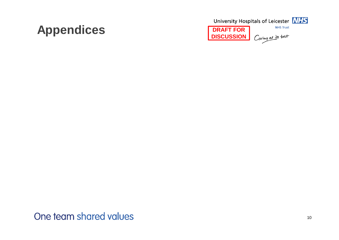## **Appendices DRAFT FOR**

University Hospitals of Leicester **NHS NHS Trust** Caring at its best **DISCUSSION**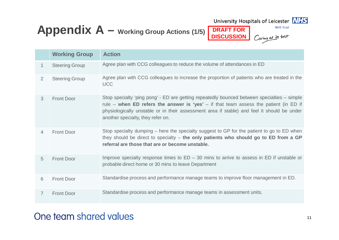## **Appendix A – Working Group Actions (1/5)**

University Hospitals of Leicester **NHS** 

**DRAFT FOR DISCUSSION**



**NHS Trust** 

Caring at its best

|                | <b>Working Group</b>  | <b>Action</b>                                                                                                                                                                                                                                                                                                            |
|----------------|-----------------------|--------------------------------------------------------------------------------------------------------------------------------------------------------------------------------------------------------------------------------------------------------------------------------------------------------------------------|
| $\mathbf{1}$   | <b>Steering Group</b> | Agree plan with CCG colleagues to reduce the volume of attendances in ED                                                                                                                                                                                                                                                 |
| $\overline{2}$ | <b>Steering Group</b> | Agree plan with CCG colleagues to increase the proportion of patients who are treated in the<br><b>UCC</b>                                                                                                                                                                                                               |
| 3              | <b>Front Door</b>     | Stop specialty 'ping pong' - ED are getting repeatedly bounced between specialties – simple<br>rule – when ED refers the answer is 'yes' – if that team assess the patient (in ED if<br>physiologically unstable or in their assessment area if stable) and feel it should be under<br>another specialty, they refer on. |
| 4              | <b>Front Door</b>     | Stop specialty dumping – here the specialty suggest to GP for the patient to go to ED when<br>they should be direct to specialty $-$ the only patients who should go to ED from a GP<br>referral are those that are or become unstable.                                                                                  |
| 5              | <b>Front Door</b>     | Improve specialty response times to $ED - 30$ mins to arrive to assess in $ED$ if unstable or<br>probable direct home or 30 mins to leave Department                                                                                                                                                                     |
| 6              | <b>Front Door</b>     | Standardise process and performance manage teams to improve floor management in ED.                                                                                                                                                                                                                                      |
| 7              | <b>Front Door</b>     | Standardise process and performance manage teams in assessment units.                                                                                                                                                                                                                                                    |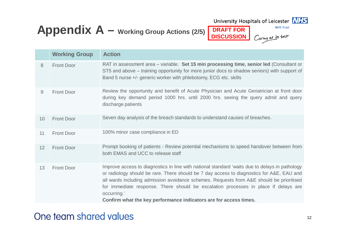## **Appendix A – Working Group Actions (2/5) DRAFT FOR**

University Hospitals of Leicester **NHS** 

**DISCUSSION**



**NHS Trust** 

Caring at its best

|                 | <b>Working Group</b> | <b>Action</b>                                                                                                                                                                                                                                                                                                                                                                                                                                                      |
|-----------------|----------------------|--------------------------------------------------------------------------------------------------------------------------------------------------------------------------------------------------------------------------------------------------------------------------------------------------------------------------------------------------------------------------------------------------------------------------------------------------------------------|
| 8               | <b>Front Door</b>    | RAT in assessment area – variable. Set 15 min processing time, senior led (Consultant or<br>ST5 and above – training opportunity for more junior docs to shadow seniors) with support of<br>Band 5 nurse +/- generic worker with phlebotomy, ECG etc. skills                                                                                                                                                                                                       |
| 9               | <b>Front Door</b>    | Review the opportunity and benefit of Acute Physician and Acute Geriatrician at front door<br>during key demand period 1000 hrs. until 2000 hrs. seeing the query admit and query<br>discharge patients                                                                                                                                                                                                                                                            |
| 10              | <b>Front Door</b>    | Seven day analysis of the breach standards to understand causes of breaches.                                                                                                                                                                                                                                                                                                                                                                                       |
| 11              | <b>Front Door</b>    | 100% minor case compliance in ED                                                                                                                                                                                                                                                                                                                                                                                                                                   |
| 12 <sup>2</sup> | <b>Front Door</b>    | Prompt booking of patients - Review potential mechanisms to speed handover between from<br>both EMAS and UCC to release staff                                                                                                                                                                                                                                                                                                                                      |
| 13              | <b>Front Door</b>    | Improve access to diagnostics in line with national standard 'waits due to delays in pathology<br>or radiology should be rare. There should be 7 day access to diagnostics for A&E, EAU and<br>all wards including admission avoidance schemes. Requests from A&E should be prioritised<br>for immediate response. There should be escalation processes in place if delays are<br>occurring.'<br>Confirm what the key performance indicators are for access times. |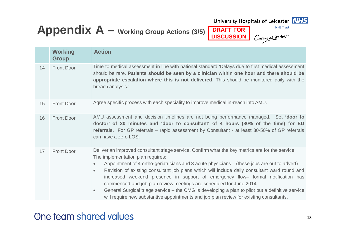### **Appendix A – Working Group Actions (3/5) DRAFT FOR DISCUSSION**

University Hospitals of Leicester **NHS** 



**NHS Trust** 

Caring at its best

|    | <b>Working</b><br><b>Group</b> | <b>Action</b>                                                                                                                                                                                                                                                                                                                                                                                                                                                                                                                                                                                                                                                                                                                         |  |  |  |
|----|--------------------------------|---------------------------------------------------------------------------------------------------------------------------------------------------------------------------------------------------------------------------------------------------------------------------------------------------------------------------------------------------------------------------------------------------------------------------------------------------------------------------------------------------------------------------------------------------------------------------------------------------------------------------------------------------------------------------------------------------------------------------------------|--|--|--|
| 14 | <b>Front Door</b>              | Time to medical assessment in line with national standard 'Delays due to first medical assessment<br>should be rare. Patients should be seen by a clinician within one hour and there should be<br>appropriate escalation where this is not delivered. This should be monitored daily with the<br>breach analysis.'                                                                                                                                                                                                                                                                                                                                                                                                                   |  |  |  |
| 15 | <b>Front Door</b>              | Agree specific process with each speciality to improve medical in-reach into AMU.                                                                                                                                                                                                                                                                                                                                                                                                                                                                                                                                                                                                                                                     |  |  |  |
| 16 | <b>Front Door</b>              | AMU assessment and decision timelines are not being performance managed. Set 'door to<br>doctor' of 30 minutes and 'door to consultant' of 4 hours (80% of the time) for ED<br>referrals. For GP referrals – rapid assessment by Consultant - at least 30-50% of GP referrals<br>can have a zero LOS.                                                                                                                                                                                                                                                                                                                                                                                                                                 |  |  |  |
| 17 | <b>Front Door</b>              | Deliver an improved consultant triage service. Confirm what the key metrics are for the service.<br>The implementation plan requires:<br>Appointment of 4 ortho-geriatricians and 3 acute physicians – (these jobs are out to advert)<br>$\bullet$<br>Revision of existing consultant job plans which will include daily consultant ward round and<br>$\bullet$<br>increased weekend presence in support of emergency flow- formal notification has<br>commenced and job plan review meetings are scheduled for June 2014<br>General Surgical triage service - the CMG is developing a plan to pilot but a definitive service<br>$\bullet$<br>will require new substantive appointments and job plan review for existing consultants. |  |  |  |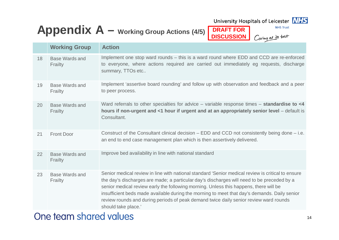

**NHS Trust** 



## **Appendix A – Working Group Actions (4/5) DRAFT FOR**

**DISCUSSION**

Caring at its best

| <b>Working Group</b>             | <b>Action</b>                                                                                                                                                                                                                                                                                                                                                                                                                                                                                            |
|----------------------------------|----------------------------------------------------------------------------------------------------------------------------------------------------------------------------------------------------------------------------------------------------------------------------------------------------------------------------------------------------------------------------------------------------------------------------------------------------------------------------------------------------------|
| <b>Base Wards and</b><br>Frailty | Implement one stop ward rounds – this is a ward round where EDD and CCD are re-enforced<br>to everyone, where actions required are carried out immediately eg requests, discharge<br>summary, TTOs etc                                                                                                                                                                                                                                                                                                   |
| <b>Base Wards and</b><br>Frailty | Implement 'assertive board rounding' and follow up with observation and feedback and a peer<br>to peer process.                                                                                                                                                                                                                                                                                                                                                                                          |
| <b>Base Wards and</b><br>Frailty | Ward referrals to other specialties for advice $-$ variable response times $-$ standardise to $<$ 4<br>hours if non-urgent and <1 hour if urgent and at an appropriately senior level – default is<br>Consultant.                                                                                                                                                                                                                                                                                        |
| <b>Front Door</b>                | Construct of the Consultant clinical decision $-$ EDD and CCD not consistently being done $-$ i.e.<br>an end to end case management plan which is then assertively delivered.                                                                                                                                                                                                                                                                                                                            |
| <b>Base Wards and</b><br>Frailty | Improve bed availability in line with national standard                                                                                                                                                                                                                                                                                                                                                                                                                                                  |
| <b>Base Wards and</b><br>Frailty | Senior medical review in line with national standard 'Senior medical review is critical to ensure<br>the day's discharges are made; a particular day's discharges will need to be preceded by a<br>senior medical review early the following morning. Unless this happens, there will be<br>insufficient beds made available during the morning to meet that day's demands. Daily senior<br>review rounds and during periods of peak demand twice daily senior review ward rounds<br>should take place.' |
|                                  |                                                                                                                                                                                                                                                                                                                                                                                                                                                                                                          |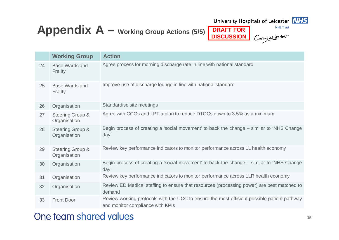

University Hospitals of Leicester **NHS** 



**NHS Trust** 

Caring at its best

|    | <b>Working Group</b>                        | <b>Action</b>                                                                                                                   |
|----|---------------------------------------------|---------------------------------------------------------------------------------------------------------------------------------|
| 24 | <b>Base Wards and</b><br>Frailty            | Agree process for morning discharge rate in line with national standard                                                         |
| 25 | Base Wards and<br>Frailty                   | Improve use of discharge lounge in line with national standard                                                                  |
| 26 | Organisation                                | Standardise site meetings                                                                                                       |
| 27 | <b>Steering Group &amp;</b><br>Organisation | Agree with CCGs and LPT a plan to reduce DTOCs down to 3.5% as a minimum                                                        |
| 28 | <b>Steering Group &amp;</b><br>Organisation | Begin process of creating a 'social movement' to back the change – similar to 'NHS Change<br>day'                               |
| 29 | <b>Steering Group &amp;</b><br>Organisation | Review key performance indicators to monitor performance across LL health economy                                               |
| 30 | Organisation                                | Begin process of creating a 'social movement' to back the change - similar to 'NHS Change<br>day'                               |
| 31 | Organisation                                | Review key performance indicators to monitor performance across LLR health economy                                              |
| 32 | Organisation                                | Review ED Medical staffing to ensure that resources (processing power) are best matched to<br>demand                            |
| 33 | <b>Front Door</b>                           | Review working protocols with the UCC to ensure the most efficient possible patient pathway<br>and monitor compliance with KPIs |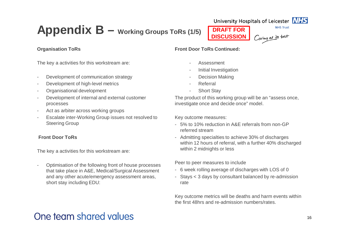## **Appendix B – Working Groups ToRs (1/5)**

**DRAFT FOR** Caring at its best **DISCUSSION**



**NHS Trust** 

#### **Organisation ToRs**

The key a activities for this workstream are:

- Development of communication strategy
- Development of high-level metrics
- Organisational development
- Development of internal and external customer processes
- Act as arbiter across working groups
- Escalate inter-Working Group issues not resolved to Steering Group

#### **Front Door ToRs**

The key a activities for this workstream are:

- Optimisation of the following front of house processes that take place in A&E, Medical/Surgical Assessment and any other acute/emergency assessment areas, short stay including EDU:

**Front Door ToRs Continued:**

- Assessment
- Initial Investigation
- Decision Making
- **Referral**
- **Short Stay**

The product of this working group will be an "assess once, investigate once and decide once" model.

Key outcome measures:

- 5% to 10% reduction in A&E referrals from non-GP referred stream
- Admitting specialties to achieve 30% of discharges within 12 hours of referral, with a further 40% discharged within 2 midnights or less

Peer to peer measures to include

- 6 week rolling average of discharges with LOS of 0
- Stays < 3 days by consultant balanced by re-admission rate

Key outcome metrics will be deaths and harm events within the first 48hrs and re-admission numbers/rates.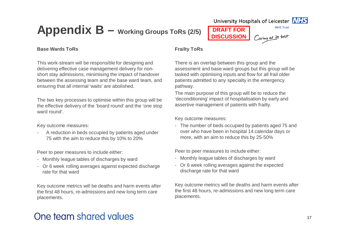## **Appendix B – Working Groups ToRs (2/5) DRAFT FOR**

**DISCUSSION**



**NHS Trust** 

Caring at its best

#### **Base Wards ToRs**

This work-stream will be responsible for designing and delivering effective case management delivery for nonshort stay admissions, minimising the impact of handover between the assessing team and the base ward team, and ensuring that all internal 'waits' are abolished.

The two key processes to optimise within this group will be the effective delivery of the 'board round' and the 'one stop ward round'.

Key outcome measures:

- A reduction in beds occupied by patients aged under 75 with the aim to reduce this by 10% to 20%

Peer to peer measures to include either:

- Monthly league tables of discharges by ward
- Or 6 week rolling averages against expected discharge rate for that ward

Key outcome metrics will be deaths and harm events after the first 48 hours, re-admissions and new long term care placements.

#### **Frailty ToRs**

There is an overlap between this group and the assessment and base ward groups but this group will be tasked with optimising inputs and flow for all frail older patients admitted to any specialty in the emergency pathway.

The main purpose of this group will be to reduce the 'deconditioning' impact of hospitalisation by early and assertive management of patients with frailty.

Key outcome measures:

- The number of beds occupied by patients aged 75 and over who have been in hospital 14 calendar days or more, with an aim to reduce this by 25-50%

Peer to peer measures to include either:

- Monthly league tables of discharges by ward
- Or 6 week rolling averages against the expected discharge rate for that ward

Key outcome metrics will be deaths and harm events after the first 48 hours, re-admissions and new long term care placements.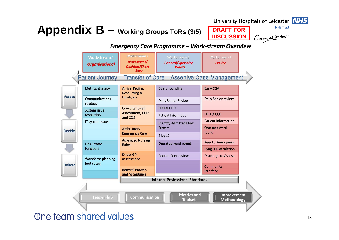#### **Appendix B** – *Working Groups ToRs (3/5)* DRAFT FOR **DRAFT BOREW APPENDIX B** – **Working Groups ToRs (3/5)** Caring at its best **DISCUSSION Emergency Care Programme - Work-stream Overview Workstream1** Assessment/ **General/Specialty Frailty Organisational Decision/Short Wards Stay** Patient Journey - Transfer of Care - Assertive Case Management **Metrics strategy** Arrival Profile, **Board rounding** Early CGA **Resourcing & Assess** Handover Communications **Daily Senior review Daily Senior Review** strategy **Consultant-led EDD & CCD** System issue Assessment, EDD **EDD & CCD** resolution **Patient Information** and CCD **Patient Information** IT system issues **Identify Admitted Flow** Stream One stop ward Ambulatory **Decide** round **Emergency Care** 2 by 10 **Advanced Nursing** Peer to Peer review One stop ward round **Ops Centre Roles Function** Long LOS escalation **Direct GP** Peer to Peer review **Discharge to Assess** Workforce planning assessment (not rotas) **Deliver** Community **Referral Process** Interface and Acceptance **Internal Professional Standards Metrics and Improvement** Leadership Communication **Toolsets Methodology** One team shared values

**NHS Trust**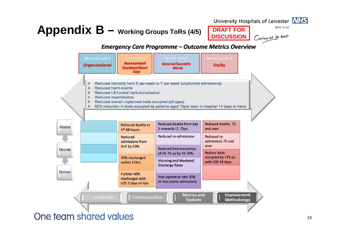# **Appendix B** – *Working Groups ToRs (4/5)* DIRAFT FOR **DRAFT FOR**

**DISCUSSION**

#### **NHS Trust**

Caring at its best

### **Emergency Care Programme - Outcome Metrics Overview**

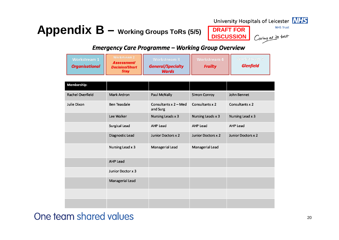## **Appendix B – Working Groups ToRs (5/5) DRAFT FOR**

University Hospitals of Leicester **NHS DISCUSSION**

**NHS Trust** 



### **Emergency Care Programme - Working Group Overview**

| <b>Workstream 1</b><br><b>Organisational</b> | <b>Workstream 2</b><br><b>Assessment/</b><br><b>Decision/Short</b><br><b>Stay</b> | Workstream 3<br><b>General/Specialty</b><br><b>Wards</b> | <b>Workstream 4</b><br><b>Frailty</b> | Workstream 5<br><b>Glenfield</b> |
|----------------------------------------------|-----------------------------------------------------------------------------------|----------------------------------------------------------|---------------------------------------|----------------------------------|
| Membership:                                  |                                                                                   |                                                          |                                       |                                  |
| Rachel Overfield                             | <b>Mark Ardron</b>                                                                | <b>Paul McNally</b>                                      | <b>Simon Conroy</b>                   | John Bennet                      |
| Julie Dixon                                  | <b>Ben Teasdale</b>                                                               | Consultants $x$ 2 – Med<br>and Surg                      | Consultants x 2                       | Consultants x 2                  |
|                                              | Lee Walker                                                                        | Nursing Leads x 3                                        | Nursing Leads x 3                     | Nursing Lead x 3                 |
|                                              | <b>Surgical Lead</b>                                                              | <b>AHP Lead</b>                                          | <b>AHP Lead</b>                       | <b>AHP Lead</b>                  |
|                                              | Diagnostic Lead                                                                   | <b>Junior Doctors x 2</b>                                | Junior Doctors x 2                    | <b>Junior Doctors x 2</b>        |
|                                              | Nursing Lead x 3                                                                  | Managerial Lead                                          | Managerial Lead                       |                                  |
|                                              | <b>AHP Lead</b>                                                                   |                                                          |                                       |                                  |
|                                              | Junior Doctor x 3                                                                 |                                                          |                                       |                                  |
|                                              | Managerial Lead                                                                   |                                                          |                                       |                                  |
|                                              |                                                                                   |                                                          |                                       |                                  |
|                                              |                                                                                   |                                                          |                                       |                                  |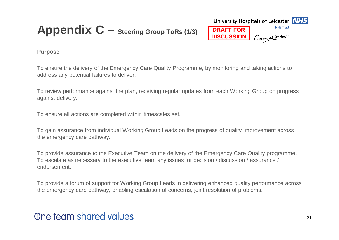## **Appendix C – Steering Group ToRs (1/3)**



### **Purpose**

To ensure the delivery of the Emergency Care Quality Programme, by monitoring and taking actions to address any potential failures to deliver.

To review performance against the plan, receiving regular updates from each Working Group on progress against delivery.

To ensure all actions are completed within timescales set.

To gain assurance from individual Working Group Leads on the progress of quality improvement across the emergency care pathway.

To provide assurance to the Executive Team on the delivery of the Emergency Care Quality programme. To escalate as necessary to the executive team any issues for decision / discussion / assurance / endorsement.

To provide a forum of support for Working Group Leads in delivering enhanced quality performance across the emergency care pathway, enabling escalation of concerns, joint resolution of problems.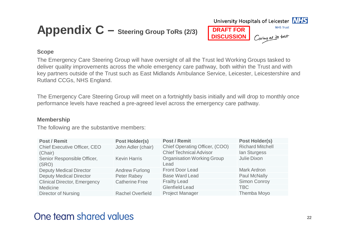## **Appendix C** – **Steering Group ToRs (2/3)** DRAFT FOR



#### **Scope**

The Emergency Care Steering Group will have oversight of all the Trust led Working Groups tasked to deliver quality improvements across the whole emergency care pathway, both within the Trust and with key partners outside of the Trust such as East Midlands Ambulance Service, Leicester, Leicestershire and Rutland CCGs, NHS England.

The Emergency Care Steering Group will meet on a fortnightly basis initially and will drop to monthly once performance levels have reached a pre-agreed level across the emergency care pathway.

#### **Membership**

The following are the substantive members:

| <b>Post / Remit</b>                  | <b>Post Holder(s)</b>   | <b>Post / Remit</b>                       | <b>Post Holder(s)</b>   |
|--------------------------------------|-------------------------|-------------------------------------------|-------------------------|
| <b>Chief Executive Officer, CEO</b>  | John Adler (chair)      | Chief Operating Officer, (COO)            | <b>Richard Mitchell</b> |
| (Chair)                              |                         | <b>Chief Technical Advisor</b>            | lan Sturgess            |
| Senior Responsible Officer,<br>(SRO) | <b>Kevin Harris</b>     | <b>Organisation Working Group</b><br>Lead | Julie Dixon             |
| <b>Deputy Medical Director</b>       | <b>Andrew Furlong</b>   | <b>Front Door Lead</b>                    | <b>Mark Ardron</b>      |
| <b>Deputy Medical Director</b>       | Peter Rabey             | <b>Base Ward Lead</b>                     | <b>Paul McNally</b>     |
| <b>Clinical Director, Emergency</b>  | <b>Catherine Free</b>   | <b>Frailty Lead</b>                       | <b>Simon Conroy</b>     |
| Medicine                             |                         | <b>Glenfield Lead</b>                     | <b>TBC</b>              |
| <b>Director of Nursing</b>           | <b>Rachel Overfield</b> | <b>Project Manager</b>                    | Themba Moyo             |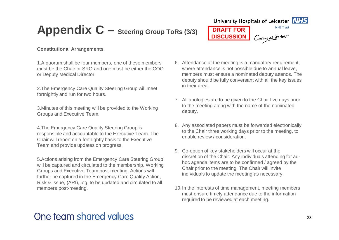## **Appendix C – Steering Group ToRs (3/3) DRAFT FOR**

University Hospitals of Leicester **NHS NHS Trust** 

Caring at its best

**DISCUSSION**



#### **Constitutional Arrangements**

1.A quorum shall be four members, one of these members must be the Chair or SRO and one must be either the COO or Deputy Medical Director.

2.The Emergency Care Quality Steering Group will meet fortnightly and run for two hours.

3.Minutes of this meeting will be provided to the Working Groups and Executive Team.

4.The Emergency Care Quality Steering Group is responsible and accountable to the Executive Team. The Chair will report on a fortnightly basis to the Executive Team and provide updates on progress.

5.Actions arising from the Emergency Care Steering Group will be captured and circulated to the membership, Working Groups and Executive Team post-meeting. Actions will further be captured in the Emergency Care Quality Action, Risk & Issue, (ARI), log, to be updated and circulated to all members post-meeting.

- 6. Attendance at the meeting is a mandatory requirement; where attendance is not possible due to annual leave, members must ensure a nominated deputy attends. The deputy should be fully conversant with all the key issues in their area.
- 7. All apologies are to be given to the Chair five days prior to the meeting along with the name of the nominated deputy.
- 8. Any associated papers must be forwarded electronically to the Chair three working days prior to the meeting, to enable review / consideration.
- 9. Co-option of key stakeholders will occur at the discretion of the Chair. Any individuals attending for adhoc agenda items are to be confirmed / agreed by the Chair prior to the meeting. The Chair will invite individuals to update the meeting as necessary.
- 10.In the interests of time management, meeting members must ensure timely attendance due to the information required to be reviewed at each meeting.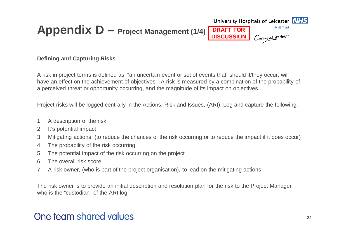

### **Defining and Capturing Risks**

A risk in project terms is defined as "an uncertain event or set of events that, should it/they occur, will have an effect on the achievement of objectives". A risk is measured by a combination of the probability of a perceived threat or opportunity occurring, and the magnitude of its impact on objectives.

Project risks will be logged centrally in the Actions, Risk and Issues, (ARI), Log and capture the following:

- 1. A description of the risk
- 2. It's potential impact
- 3. Mitigating actions, (to reduce the chances of the risk occurring or to reduce the impact if it does occur)
- 4. The probability of the risk occurring
- 5. The potential impact of the risk occurring on the project
- 6. The overall risk score
- 7. A risk owner, (who is part of the project organisation), to lead on the mitigating actions

The risk owner is to provide an initial description and resolution plan for the risk to the Project Manager who is the "custodian" of the ARI log.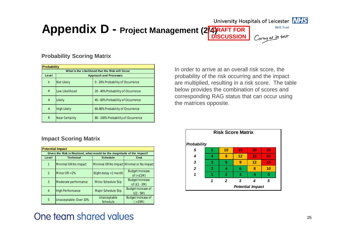#### University Hospitals of Leicester MHS



**NHS Trust** 

Caring at its best

**Appendix D - Project Management (2/4)RAFT FOR DISCUSSION**

#### **Probability Scoring Matrix**

| <b>Probability</b> |                       |                                                 |  |
|--------------------|-----------------------|-------------------------------------------------|--|
|                    |                       | What is the Likelihood that the Risk will Occur |  |
| Level              |                       | <b>Approach and Processes</b>                   |  |
| $\overline{1}$     | <b>Not Likely</b>     | 0 - 20% Probability of Occurrence               |  |
| $\overline{2}$     | Low Likelihood        | 20 - 40% Probability of Occurrence              |  |
| 3                  | Likely                | 40 - 60% Probability of Occurrence              |  |
| $\boldsymbol{4}$   | <b>High Likely</b>    | 60-80% Probability of Occurrence                |  |
| 5                  | <b>Near Certainty</b> | 80 - 100% Probability of Occurrence             |  |

**Impact Scoring Matrix**

|                | <b>Potential Impact</b>                                                |                                           |                                             |  |  |
|----------------|------------------------------------------------------------------------|-------------------------------------------|---------------------------------------------|--|--|
|                | Given the Risk is Realized, what would be the magnitude of the impact? |                                           |                                             |  |  |
| Level          | <b>Technical</b>                                                       | <b>Schedule</b>                           | Cost                                        |  |  |
| 1              | Minimal OR No Impact                                                   | Minimal OR No Impact Minimal or No Impact |                                             |  |  |
| $\overline{2}$ | Minor $OR < 2\%$                                                       | Slight delay < 1 month                    | <b>Budget Increase</b><br>of $(\epsilon1M)$ |  |  |
| 3              | Moderate performance                                                   | Minor Schedule Slip                       | <b>Budget Increase</b><br>of $(E1 - 2M)$    |  |  |
| $\overline{4}$ | <b>High Performance</b>                                                | Major Schedule Slip                       | <b>Budget Increase of</b><br>$(E2 - 5M)$    |  |  |
| 5              | Unacceptable; Over 10%                                                 | Unacceptable<br>Schedule                  | <b>Budget Increase of</b><br>( > £5M)       |  |  |

### One team shared values

In order to arrive at an overall risk score, the probability of the risk occurring and the impact are multiplied, resulting in a risk score. The table below provides the combination of scores and corresponding RAG status that can occur using the matrices opposite.

| <b>Risk Score Matrix</b> |                         |                |    |    |    |
|--------------------------|-------------------------|----------------|----|----|----|
| Probability              |                         |                |    |    |    |
| 5                        | 5                       | 10             | 15 | 20 | 25 |
| 4                        | 4                       | 8              | 12 | 16 | 20 |
| 3                        | 3                       | 6              | 9  | 12 | 15 |
| $\overline{2}$           | $\overline{2}$          | 4              | 6  | 8  | 10 |
| 1                        |                         | $\overline{2}$ | 3  | 4  | 5  |
|                          |                         | $\mathbf{2}$   | 3  |    | 5  |
|                          | <b>Potential Impact</b> |                |    |    |    |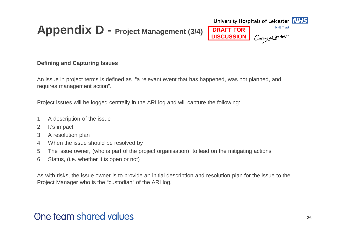## **Appendix D - Project Management (3/4)**

### **Defining and Capturing Issues**

An issue in project terms is defined as "a relevant event that has happened, was not planned, and requires management action".

**DRAFT FOR DISCUSSION**

University Hospitals of Leicester **NHS** 

**NHS Trust** 

Caring at its best

Project issues will be logged centrally in the ARI log and will capture the following:

- 1. A description of the issue
- 2. It's impact
- 3. A resolution plan
- 4. When the issue should be resolved by
- 5. The issue owner, (who is part of the project organisation), to lead on the mitigating actions
- 6. Status, (i.e. whether it is open or not)

As with risks, the issue owner is to provide an initial description and resolution plan for the issue to the Project Manager who is the "custodian" of the ARI log.